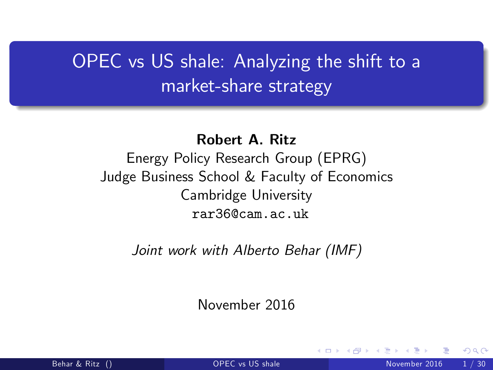# OPEC vs US shale: Analyzing the shift to a market-share strategy

Robert A. Ritz

Energy Policy Research Group (EPRG) Judge Business School & Faculty of Economics Cambridge University rar36@cam.ac.uk

Joint work with Alberto Behar (IMF)

November 2016

<span id="page-0-0"></span>つひひ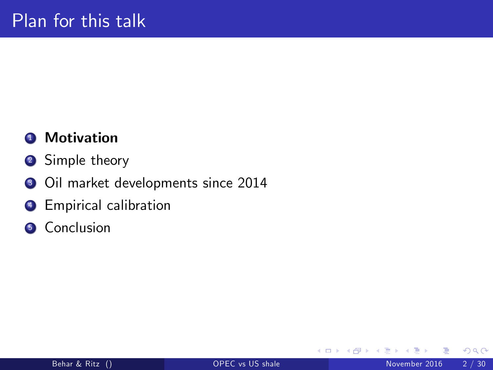### **4** Motivation

- <sup>2</sup> Simple theory
- <sup>3</sup> Oil market developments since 2014
- **4** Empirical calibration
- **6** Conclusion

4 0 8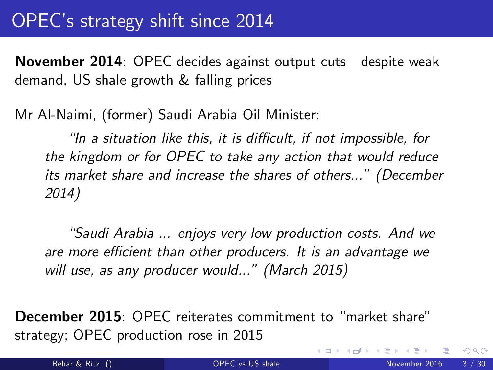# OPECís strategy shift since 2014

November 2014: OPEC decides against output cuts—despite weak demand, US shale growth & falling prices

Mr Al-Naimi, (former) Saudi Arabia Oil Minister:

 $\mathcal I$  a situation like this, it is difficult, if not impossible, for the kingdom or for OPEC to take any action that would reduce its market share and increase the shares of others..." (December 2014)

"Saudi Arabia ... enjoys very low production costs. And we are more efficient than other producers. It is an advantage we will use, as any producer would..." (March 2015)

**December 2015:** OPEC reiterates commitment to "market share" strategy; OPEC production rose in 2015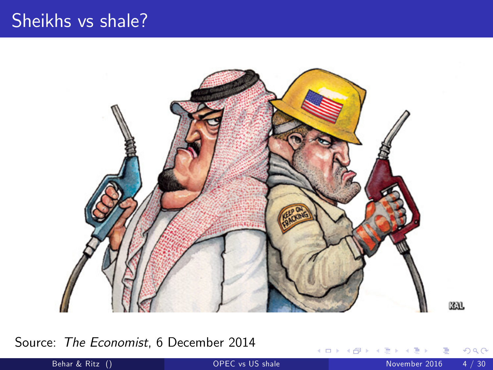### Sheikhs vs shale?



Source: The Economist, 6 December 2014

 $\leftarrow$   $\Box$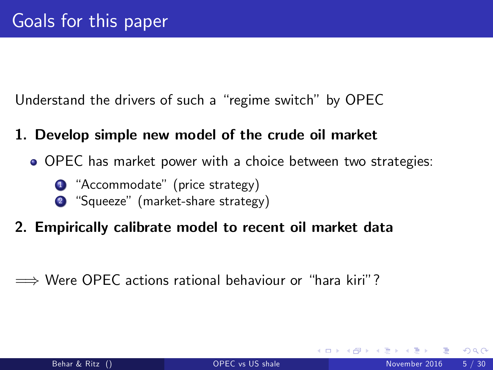Understand the drivers of such a "regime switch" by OPEC

- 1. Develop simple new model of the crude oil market
	- OPEC has market power with a choice between two strategies:
		- <sup>1</sup> "Accommodate" (price strategy)
		- <sup>2</sup> "Squeeze" (market-share strategy)
- 2. Empirically calibrate model to recent oil market data
- $\implies$  Were OPEC actions rational behaviour or "hara kiri"?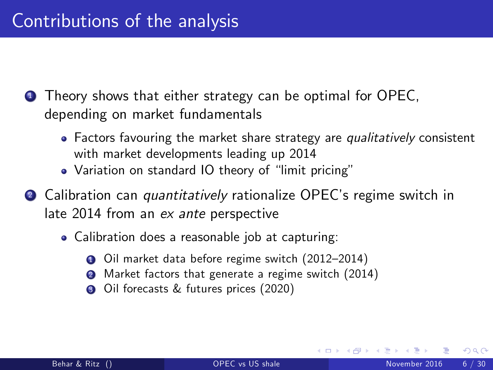**1** Theory shows that either strategy can be optimal for OPEC, depending on market fundamentals

- Factors favouring the market share strategy are qualitatively consistent with market developments leading up 2014
- Variation on standard IO theory of "limit pricing"
- 2 Calibration can *quantitatively* rationalize OPEC's regime switch in late 2014 from an ex ante perspective
	- Calibration does a reasonable job at capturing:
		- Oil market data before regime switch (2012-2014)
		- **2** Market factors that generate a regime switch (2014)
		- **3** Oil forecasts & futures prices (2020)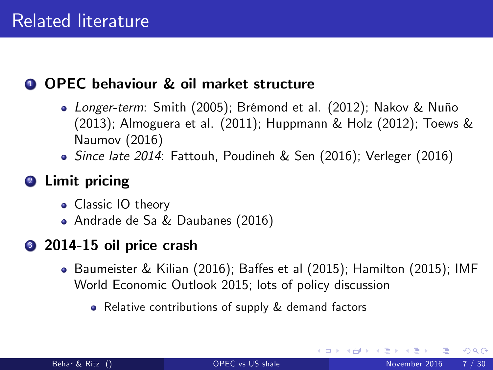#### **4 OPEC behaviour & oil market structure**

- Longer-term: Smith (2005); Brémond et al. (2012); Nakov & Nuño (2013); Almoguera et al. (2011); Huppmann & Holz (2012); Toews & Naumov (2016)
- Since late 2014: Fattouh, Poudineh & Sen (2016); Verleger (2016)

### <sup>2</sup> Limit pricing

- Classic IO theory
- Andrade de Sa & Daubanes (2016)

### <sup>3</sup> 2014-15 oil price crash

- $\bullet$  Baumeister & Kilian (2016); Baffes et al (2015); Hamilton (2015); IMF World Economic Outlook 2015; lots of policy discussion
	- Relative contributions of supply & demand factors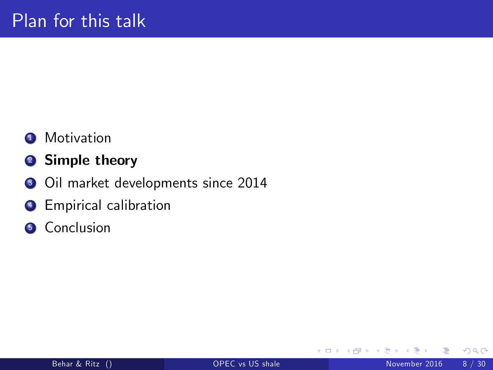- **1** Motivation
- <sup>2</sup> Simple theory
- <sup>3</sup> Oil market developments since 2014
- **4** Empirical calibration
- **6** Conclusion

4 0 8

 $QQ$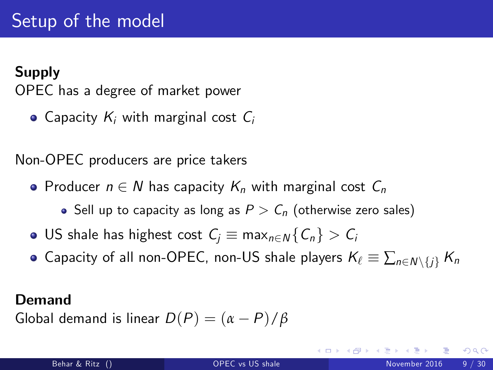### Supply

OPEC has a degree of market power

• Capacity  $K_i$  with marginal cost  $C_i$ 

Non-OPEC producers are price takers

- Producer  $n \in N$  has capacity  $K_n$  with marginal cost  $C_n$ 
	- Sell up to capacity as long as  $P > C_n$  (otherwise zero sales)
- **•** US shale has highest cost  $C_i \equiv \max_{n \in \mathbb{N}} \{C_n\} > C_i$
- Capacity of all non-OPEC, non-US shale players  $K_\ell \equiv \sum_{n \in \mathbb{N}\setminus\{i\}} K_n$

#### Demand

Global demand is linear  $D(P) = (\alpha - P)/\beta$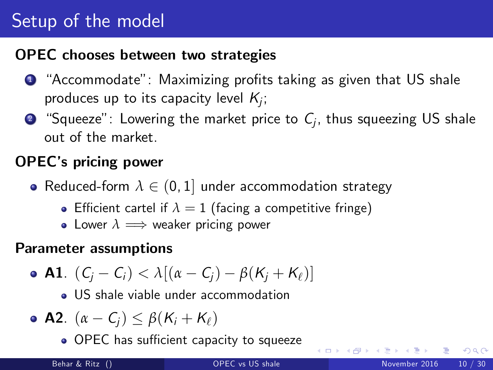# Setup of the model

#### OPEC chooses between two strategies

- $\bullet$  "Accommodate": Maximizing profits taking as given that US shale produces up to its capacity level  $\mathcal{K}_{j};$
- $\bullet$  "Squeeze": Lowering the market price to  $\mathit{C}_{j}$ , thus squeezing US shale out of the market.

### OPECís pricing power

- Reduced-form  $\lambda \in (0, 1]$  under accommodation strategy
	- **•** Efficient cartel if  $\lambda = 1$  (facing a competitive fringe)
	- Lower  $\lambda \implies$  weaker pricing power

#### Parameter assumptions

• A1. 
$$
(C_j - C_i) < \lambda [(\alpha - C_j) - \beta (K_j + K_\ell)]
$$

US shale viable under accommodation

• A2. 
$$
(\alpha - C_j) \leq \beta (K_i + K_\ell)
$$

. OPEC has sufficient capacity to squeeze

4 0 3 4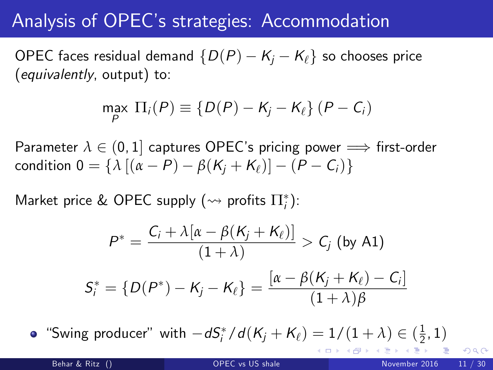## Analysis of OPECís strategies: Accommodation

OPEC faces residual demand  $\{D(P) - K_i - K_{\ell}\}\$  so chooses price (equivalently, output) to:

$$
\max_{P} \Pi_{i}(P) \equiv \{D(P) - K_{j} - K_{\ell}\} (P - C_{i})
$$

Parameter  $\lambda \in (0, 1]$  captures OPEC's pricing power  $\implies$  first-order condition  $0 = \{\lambda \left[ (\alpha - P) - \beta (K_i + K_j) \right] - (P - C_i) \}$ 

Market price & OPEC supply  $(\rightsquigarrow$  profits  $\Pi^*_i$ ):

$$
P^* = \frac{C_i + \lambda[\alpha - \beta(K_j + K_\ell)]}{(1 + \lambda)} > C_j \text{ (by A1)}
$$
  

$$
S_i^* = \{D(P^*) - K_j - K_\ell\} = \frac{[\alpha - \beta(K_j + K_\ell) - C_j]}{(1 + \lambda)\beta}
$$

"Swing producer" with  $-dS_i^* / d(K_j + K_\ell) = 1/(1 + \lambda) \in (\frac{1}{2})$  $-dS_i^* / d(K_j + K_\ell) = 1/(1 + \lambda) \in (\frac{1}{2})$  $-dS_i^* / d(K_j + K_\ell) = 1/(1 + \lambda) \in (\frac{1}{2})$  $\frac{1}{2}$  $\frac{1}{2}$  $\frac{1}{2}$ , 1)

∢ ロ ≯ → イ印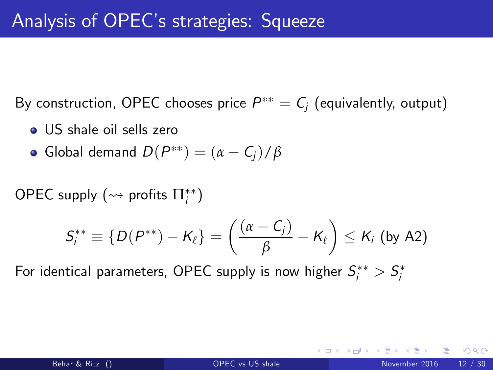By construction, OPEC chooses price  $P^{\ast\ast}= \mathcal{C}_j$  (equivalently, output)

- US shale oil sells zero
- Global demand  $D(P^{**}) = (\alpha C_j)/\beta$

 $\mathsf{OPEC}$  supply  $(\rightsquigarrow$  profits  $\Pi_i^{**})$ 

$$
S_i^{**} \equiv \{D(P^{**})-K_{\ell}\} = \left(\frac{(\alpha - C_j)}{\beta} - K_{\ell}\right) \leq K_i \text{ (by A2)}
$$

For identical parameters, OPEC supply is now higher  $S_i^{\ast\ast}>S_i^\ast$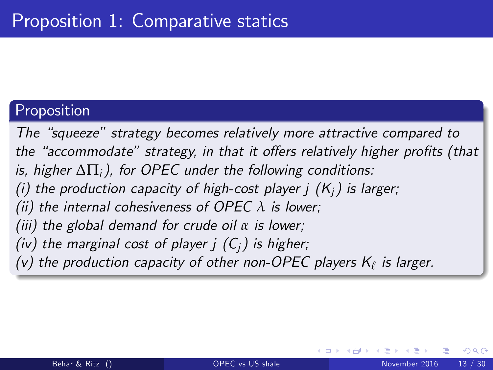#### Proposition

The "squeeze" strategy becomes relatively more attractive compared to the "accommodate" strategy, in that it offers relatively higher profits (that is, higher  $\Delta\Pi_i$ ), for OPEC under the following conditions: (i) the production capacity of high-cost player  $j(K_i)$  is larger; (ii) the internal cohesiveness of OPEC *λ* is lower; (iii) the global demand for crude oil *α* is lower; (iv) the marginal cost of player  $i(G_i)$  is higher; (v) the production capacity of other non-OPEC players  $\mathsf{K}_\ell$  is larger.

つひひ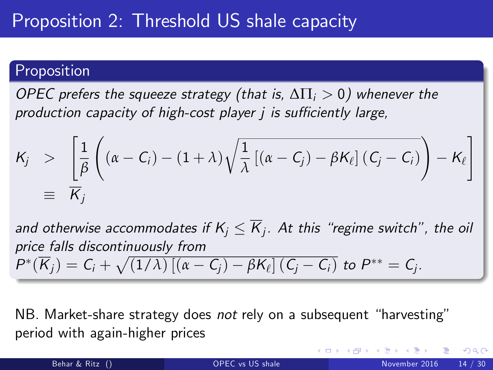#### Proposition

OPEC prefers the squeeze strategy (that is,  $\Delta \Pi_i > 0$ ) whenever the production capacity of high-cost player  *is sufficiently large,* 

$$
\begin{array}{rcl}\nK_j > & \left[\frac{1}{\beta}\left((\alpha - C_i) - (1 + \lambda)\sqrt{\frac{1}{\lambda}\left[(\alpha - C_j) - \beta K_\ell\right](C_j - C_i)}\right) - K_\ell\right] \\
& \equiv & \overline{K}_j\n\end{array}
$$

and otherwise accommodates if  $K_j \leq K_j$ . At this "regime switch", the oil price falls discontinuously from  $P^*(\overline{K}_j) = C_i + \sqrt{(1/\lambda)\left[ (\alpha - C_j) - \beta K_\ell \right] (C_j - C_i)}$  to  $P^{**} = C_j$ .

NB. Market-share strategy does not rely on a subsequent "harvesting" period with again-higher prices

つへへ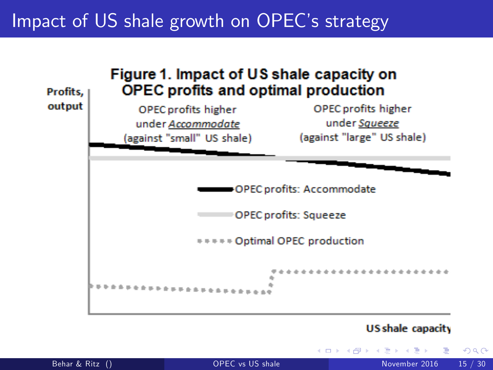### Impact of US shale growth on OPEC's strategy



#### US shale capacity

|  | Behar & Ritz () |  |
|--|-----------------|--|
|  |                 |  |
|  |                 |  |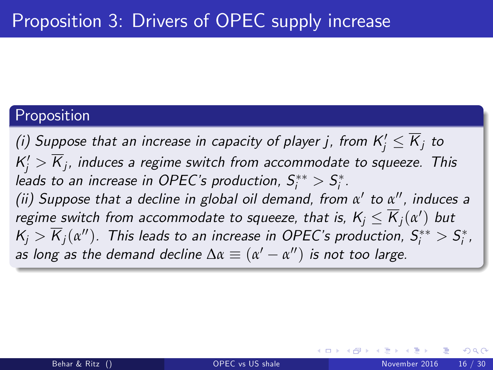#### Proposition

(i) Suppose that an increase in capacity of player j, from  $\mathsf{K}_j^\prime\leq \mathsf{K}_j$  to  $\mathcal{K}'_j > \mathcal{K}_j$ , induces a regime switch from accommodate to squeeze. This leads to an increase in OPEC's production,  $S_i^{**} > S_i^*$ . (ii) Suppose that a decline in global oil demand, from α' to α'', induces a regime switch from accommodate to squeeze, that is,  $K_j \leq K_j(\alpha')$  but  $K_j > K_j(\alpha'')$ . This leads to an increase in OPEC's production,  $S_i^{**} > S_i^*$ , as long as the demand decline  $\Delta \alpha \equiv (\alpha' - \alpha'')$  is not too large.

つひひ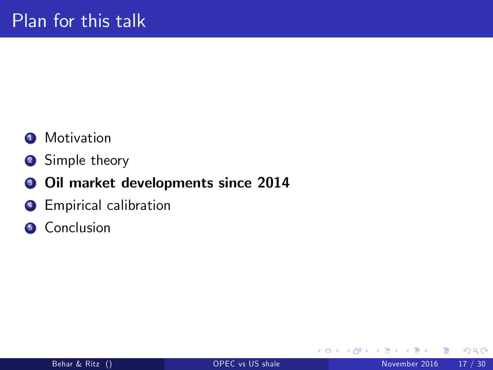### **1** Motivation

<sup>2</sup> Simple theory

#### <sup>3</sup> Oil market developments since 2014

- **4** Empirical calibration
- **6** Conclusion

4 0 8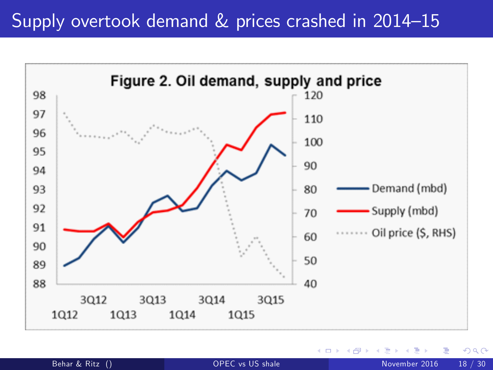# Supply overtook demand  $&$  prices crashed in 2014–15

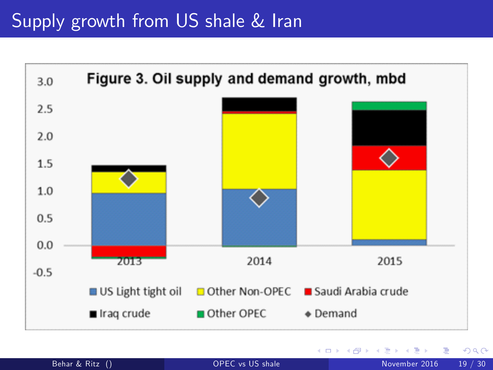<span id="page-18-0"></span>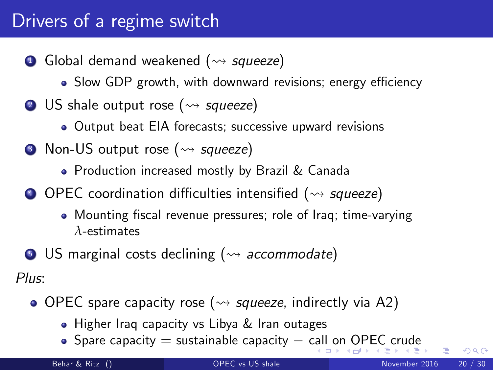# Drivers of a regime switch

- **1** Global demand weakened ( $\rightsquigarrow$  squeeze)
	- Slow GDP growth, with downward revisions; energy efficiency
- **2** US shale output rose ( $\rightsquigarrow$  squeeze)
	- Output beat EIA forecasts; successive upward revisions
- Non-US output rose ( $\rightsquigarrow$  squeeze)
	- Production increased mostly by Brazil & Canada
- $\bigodot$  OPEC coordination difficulties intensified ( $\rightsquigarrow$  squeeze)
	- Mounting fiscal revenue pressures; role of Iraq; time-varying *λ*-estimates
- $\bullet$  US marginal costs declining ( $\rightsquigarrow$  accommodate)

Plus:

- $\bullet$  OPEC spare capacity rose ( $\rightsquigarrow$  squeeze, indirectly via A2)
	- Higher Iraq capacity vs Libya & Iran outages
	- •Spar[e](#page-29-0) capacity  $=$  sustainable capacity  $-$  [call](#page-18-0) [on](#page-20-0) [O](#page-19-0)[P](#page-20-0)[EC](#page-0-0) [cr](#page-29-0)[ud](#page-0-0)e

<span id="page-19-0"></span> $QQ$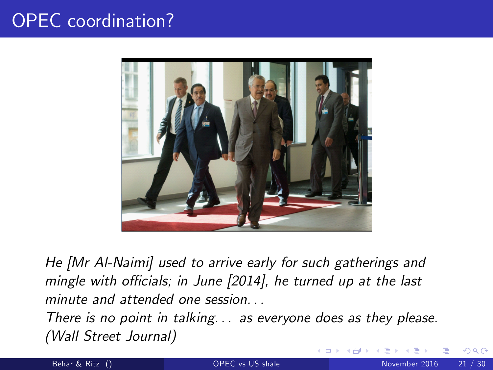# OPEC coordination?



He [Mr Al-Naimi] used to arrive early for such gatherings and mingle with officials; in June  $[2014]$ , he turned up at the last minute and attended one session

<span id="page-20-0"></span>There is no point in talking. . . as everyone does as they please. (Wall Street Journal)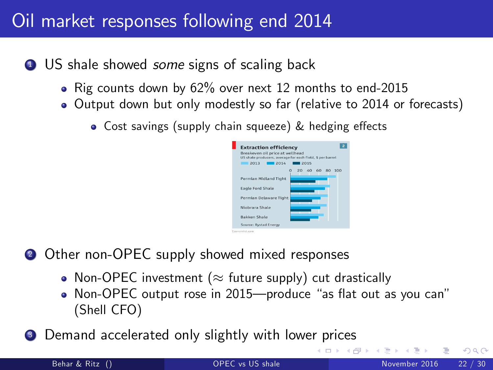# Oil market responses following end 2014

- **1** US shale showed *some* signs of scaling back
	- Rig counts down by 62% over next 12 months to end-2015
	- Output down but only modestly so far (relative to 2014 or forecasts)
		- Cost savings (supply chain squeeze) & hedging effects



∢ □ ▶ ⊣ *f*il

- **2** Other non-OPEC supply showed mixed responses
	- Non-OPEC investment ( $\approx$  future supply) cut drastically
	- Non-OPEC output rose in 2015—produce "as flat out as you can" (Shell CFO)
- <sup>3</sup> Demand accelerated only slightly with lower prices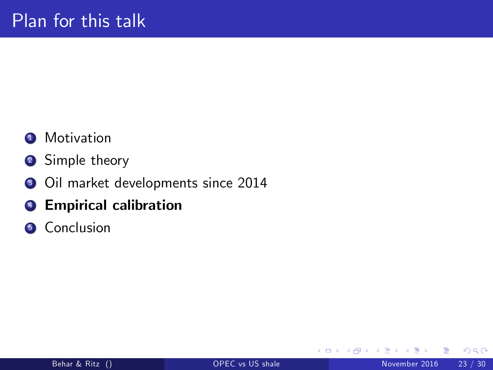### **1** Motivation

- <sup>2</sup> Simple theory
- <sup>3</sup> Oil market developments since 2014
- **4** Empirical calibration
- **6** Conclusion

4 0 8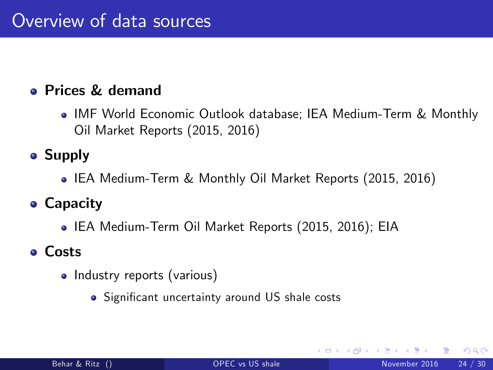#### Prices & demand

IMF World Economic Outlook database; IEA Medium-Term & Monthly Oil Market Reports (2015, 2016)

### **• Supply**

IEA Medium-Term & Monthly Oil Market Reports (2015, 2016)

### Capacity

IEA Medium-Term Oil Market Reports (2015, 2016); EIA

#### Costs

- <span id="page-23-0"></span>• Industry reports (various)
	- · Significant uncertainty around US shale costs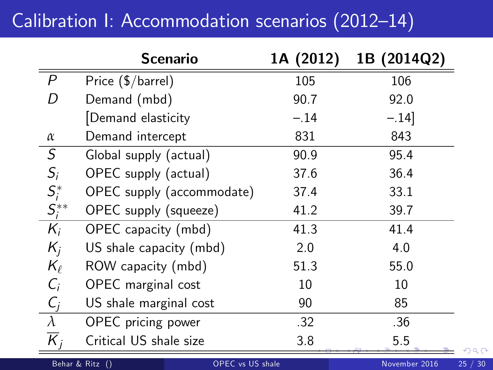# Calibration I: Accommodation scenarios (2012-14)

|                       | <b>Scenario</b>                            | 1A (2012) | 1B (2014Q2)   |
|-----------------------|--------------------------------------------|-----------|---------------|
| $\mathcal{P}$         | Price (\$/barrel)                          | 105       | 106           |
| D                     | Demand (mbd)                               | 90.7      | 92.0          |
|                       | Demand elasticity                          | $-.14$    | $-.14]$       |
| $\alpha$              | Demand intercept                           | 831       | 843           |
| S                     | Global supply (actual)                     | 90.9      | 95.4          |
| $S_i$                 | OPEC supply (actual)                       | 37.6      | 36.4          |
|                       | OPEC supply (accommodate)                  | 37.4      | 33.1          |
| $S_i^*$<br>$S_i^{**}$ | OPEC supply (squeeze)                      | 41.2      | 39.7          |
| $K_i$                 | OPEC capacity (mbd)                        | 41.3      | 41.4          |
| $K_i$                 | US shale capacity (mbd)                    | 2.0       | 4.0           |
| $K_{\ell}$            | ROW capacity (mbd)                         | 51.3      | 55.0          |
| $C_i$                 | OPEC marginal cost                         | 10        | 10            |
| $C_j$                 | US shale marginal cost                     | 90        | 85            |
| $\lambda$             | OPEC pricing power                         | .32       | .36           |
| $\overline{K}_j$      | Critical US shale size                     | 3.8       | 5.5           |
|                       | Behar & Ritz ()<br><b>OPEC</b> vs US shale |           | November 2016 |

<span id="page-24-0"></span> $QQ$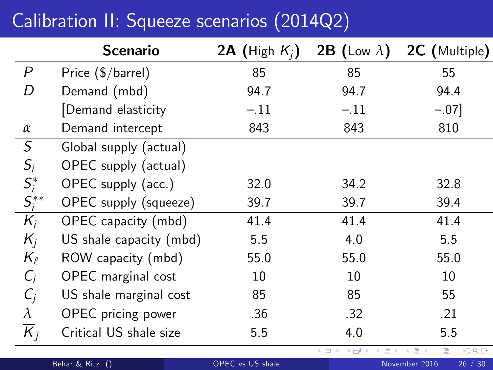# Calibration II: Squeeze scenarios (2014Q2)

<span id="page-25-0"></span>

|                       | Scenario                | 2A (High $K_i$ ) | 2B (Low $\lambda$ )        | 2C (Multiple)            |
|-----------------------|-------------------------|------------------|----------------------------|--------------------------|
| $\overline{P}$        | Price (\$/barrel)       | 85               | 85                         | 55                       |
| D                     | Demand (mbd)            | 94.7             | 94.7                       | 94.4                     |
|                       | Demand elasticity       | $-.11$           | $-.11$                     | $-.07]$                  |
| $\alpha$              | Demand intercept        | 843              | 843                        | 810                      |
| $\cal S$              | Global supply (actual)  |                  |                            |                          |
| $S_i$                 | OPEC supply (actual)    |                  |                            |                          |
|                       | OPEC supply (acc.)      | 32.0             | 34.2                       | 32.8                     |
| $S_i^*$<br>$S_i^{**}$ | OPEC supply (squeeze)   | 39.7             | 39.7                       | 39.4                     |
| $K_i$                 | OPEC capacity (mbd)     | 41.4             | 41.4                       | 41.4                     |
| $K_i$                 | US shale capacity (mbd) | 5.5              | 4.0                        | 5.5                      |
| $K_{\ell}$            | ROW capacity (mbd)      | 55.0             | 55.0                       | 55.0                     |
| $C_i$                 | OPEC marginal cost      | 10               | 10                         | 10                       |
| $C_j$                 | US shale marginal cost  | 85               | 85                         | 55                       |
| $\overline{\lambda}$  | OPEC pricing power      | .36              | .32                        | .21                      |
| $\overline{K}_{i}$    | Critical US shale size  | 5.5              | 4.0                        | 5.5                      |
|                       |                         |                  | <b>K ロ ▶ K 伊 ▶ K</b><br>ヨト | 290<br>Ε<br>■→           |
|                       | Behar & Ritz ()         | OPEC vs US shale |                            | 26 / 30<br>November 2016 |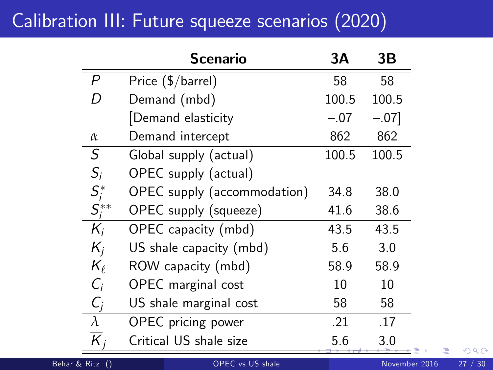# Calibration III: Future squeeze scenarios (2020)

|                         | Scenario                    | ЗΑ     | 3В      |
|-------------------------|-----------------------------|--------|---------|
| P                       | Price (\$/barrel)           | 58     | 58      |
| D                       | Demand (mbd)                | 100.5  | 100.5   |
|                         | Demand elasticity           | $-.07$ | $-.07]$ |
| $\alpha$                | Demand intercept            | 862    | 862     |
| S                       | Global supply (actual)      | 100.5  | 100.5   |
| $S_i$                   | OPEC supply (actual)        |        |         |
| $S_i^*$<br>$S_i^{**}$   | OPEC supply (accommodation) | 34.8   | 38.0    |
|                         | OPEC supply (squeeze)       | 41.6   | 38.6    |
| $K_i$                   | OPEC capacity (mbd)         | 43.5   | 43.5    |
| $K_i$                   | US shale capacity (mbd)     | 5.6    | 3.0     |
| $K_{\ell}$              | ROW capacity (mbd)          | 58.9   | 58.9    |
| $C_i$                   | OPEC marginal cost          | 10     | 10      |
| $C_i$                   | US shale marginal cost      | 58     | 58      |
| $\lambda$               | OPEC pricing power          | .21    | .17     |
| $\overline{\mathsf{K}}$ | Critical US shale size      | 5.6    | 3.0     |

<span id="page-26-0"></span>Þ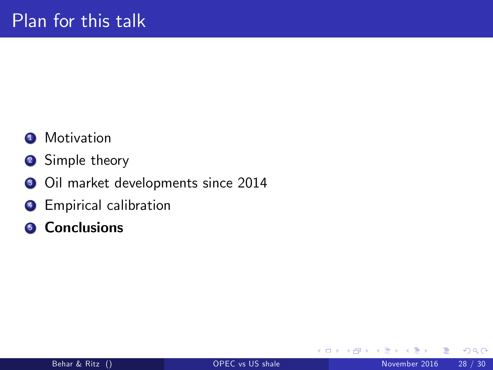### **1** Motivation

- <sup>2</sup> Simple theory
- <sup>3</sup> Oil market developments since 2014
- **4** Empirical calibration
- **6** Conclusions

<span id="page-27-0"></span>4 0 8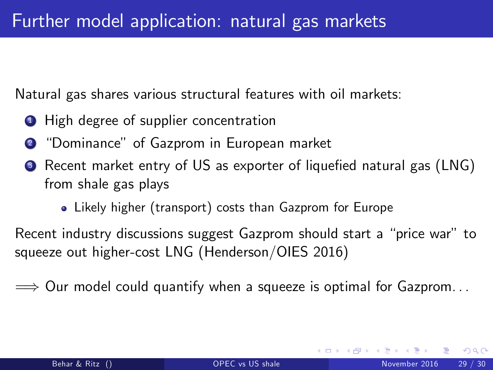Natural gas shares various structural features with oil markets:

- **1** High degree of supplier concentration
- <sup>2</sup> "Dominance" of Gazprom in European market
- <sup>3</sup> Recent market entry of US as exporter of liquefied natural gas (LNG) from shale gas plays
	- Likely higher (transport) costs than Gazprom for Europe

Recent industry discussions suggest Gazprom should start a "price war" to squeeze out higher-cost LNG (Henderson/OIES 2016)

 $\implies$  Our model could quantify when a squeeze is optimal for Gazprom...